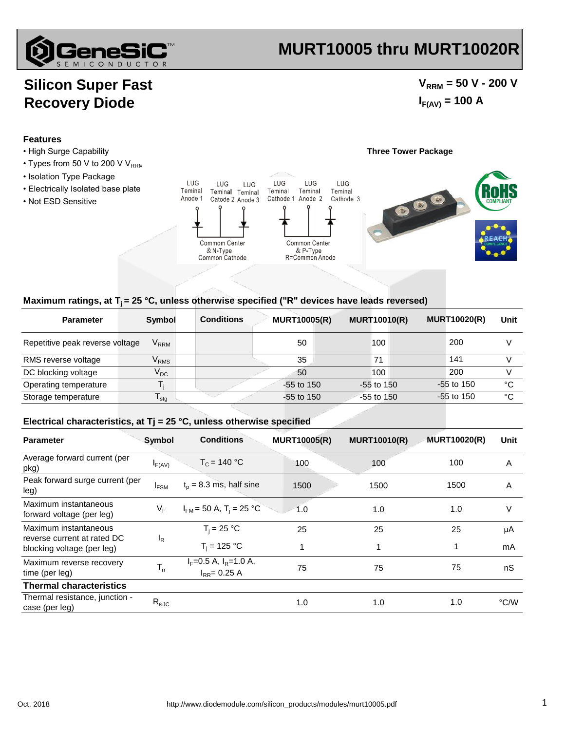

## **MURT10005 thru MURT10020R**

## **Silicon Super Fast Recovery Diode**

### $V_{\text{RRM}}$  = 50 V - 200 V  $I_{F(AV)} = 100 A$

#### **Features**

- High Surge Capability **Three Tower Package**
- $\cdot$  Types from 50 V to 200 V V<sub>RRM</sub>
- Isolation Type Package
- Electrically Isolated base plate
- Not ESD Sensitive



#### Maximum ratings, at T<sub>i</sub> = 25 °C, unless otherwise specified ("R" devices have leads reversed)

| <b>Parameter</b>                | Symbol                      | <b>Conditions</b> | <b>MURT10005(R)</b> | <b>MURT10010(R)</b> | <b>MURT10020(R)</b> | Unit |
|---------------------------------|-----------------------------|-------------------|---------------------|---------------------|---------------------|------|
| Repetitive peak reverse voltage | $\mathsf{V}_{\mathsf{RRM}}$ |                   | 50                  | 100                 | 200                 |      |
| RMS reverse voltage             | $\mathsf{V}_{\mathsf{RMS}}$ |                   | 35                  | 71                  | 141                 |      |
| DC blocking voltage             | $V_{DC}$                    |                   | 50                  | 100                 | 200                 |      |
| Operating temperature           |                             |                   | $-55$ to 150        | $-55$ to 150        | $-55$ to 150        | °€   |
| Storage temperature             | $\mathsf{I}_{\mathsf{stq}}$ |                   | $-55$ to 150        | $-55$ to 150        | $-55$ to 150        | °C   |

#### **Electrical characteristics, at Tj = 25 °C, unless otherwise specified**

| <b>Parameter</b>                                          | Symbol         | <b>Conditions</b>                                  | <b>MURT10005(R)</b> | <b>MURT10010(R)</b> | <b>MURT10020(R)</b> | Unit |
|-----------------------------------------------------------|----------------|----------------------------------------------------|---------------------|---------------------|---------------------|------|
| Average forward current (per<br>pkg)                      | $I_{F(AV)}$    | $T_c = 140 °C$                                     | 100                 | 100                 | 100                 | A    |
| Peak forward surge current (per<br>leg)                   | $I_{FSM}$      | $t_p = 8.3$ ms, half sine                          | 1500                | 1500                | 1500                | A    |
| Maximum instantaneous<br>forward voltage (per leg)        | VF             | $I_{FM}$ = 50 A, T <sub>i</sub> = 25 °C            | 1.0                 | 1.0                 | 1.0                 | V    |
| Maximum instantaneous                                     | <sup>I</sup> R | $T_i = 25 °C$                                      | 25                  | 25                  | 25                  | μA   |
| reverse current at rated DC<br>blocking voltage (per leg) |                | $T_i = 125 °C$                                     |                     | 1                   |                     | mA   |
| Maximum reverse recovery<br>time (per leg)                | $T_{rr}$       | $I_F = 0.5$ A, $I_R = 1.0$ A,<br>$I_{RR} = 0.25 A$ | 75                  | 75                  | 75                  | nS   |
| <b>Thermal characteristics</b>                            |                |                                                    |                     |                     |                     |      |
| Thermal resistance, junction -<br>case (per leg)          | $R_{\theta$ JC |                                                    | 1.0                 | 1.0                 | 1.0                 | °C/W |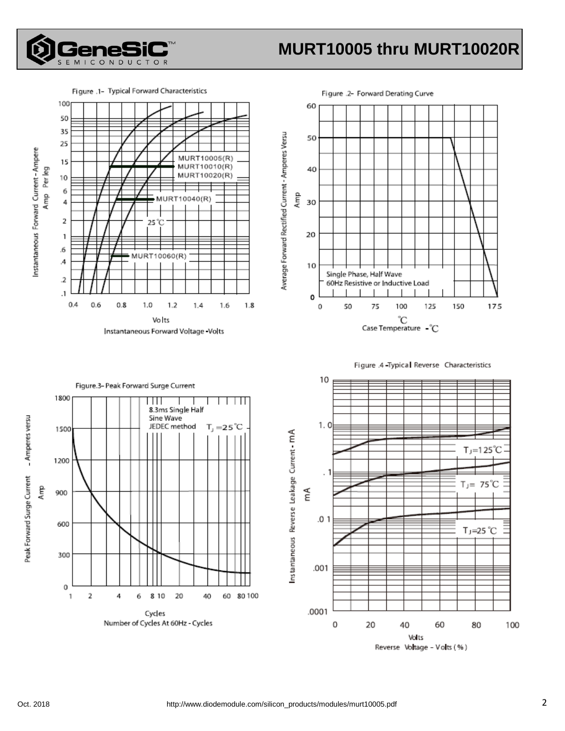

# **MURT10005 thru MURT10020R**

Figure .1- Typical Forward Characteristics